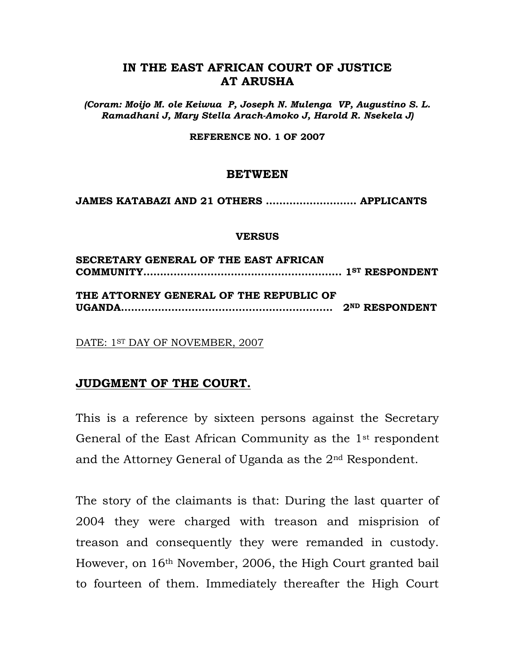### **IN THE EAST AFRICAN COURT OF JUSTICE AT ARUSHA**

*(Coram: Moijo M. ole Keiwua P, Joseph N. Mulenga VP, Augustino S. L. Ramadhani J, Mary Stella Arach-Amoko J, Harold R. Nsekela J)*

**REFERENCE NO. 1 OF 2007**

#### **BETWEEN**

**JAMES KATABAZI AND 21 OTHERS ……………………… APPLICANTS**

#### **VERSUS**

| SECRETARY GENERAL OF THE EAST AFRICAN   |  |
|-----------------------------------------|--|
| THE ATTORNEY GENERAL OF THE REPUBLIC OF |  |

DATE: 1ST DAY OF NOVEMBER, 2007

### **JUDGMENT OF THE COURT.**

This is a reference by sixteen persons against the Secretary General of the East African Community as the 1<sup>st</sup> respondent and the Attorney General of Uganda as the 2nd Respondent.

The story of the claimants is that: During the last quarter of 2004 they were charged with treason and misprision of treason and consequently they were remanded in custody. However, on 16th November, 2006, the High Court granted bail to fourteen of them. Immediately thereafter the High Court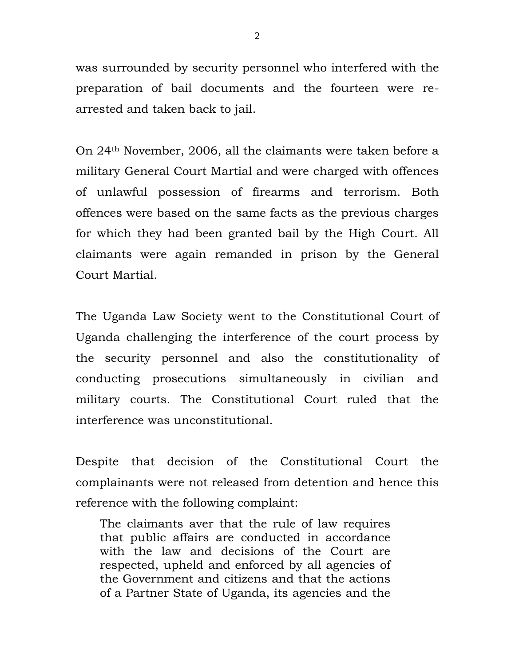was surrounded by security personnel who interfered with the preparation of bail documents and the fourteen were rearrested and taken back to jail.

On 24th November, 2006, all the claimants were taken before a military General Court Martial and were charged with offences of unlawful possession of firearms and terrorism. Both offences were based on the same facts as the previous charges for which they had been granted bail by the High Court. All claimants were again remanded in prison by the General Court Martial.

The Uganda Law Society went to the Constitutional Court of Uganda challenging the interference of the court process by the security personnel and also the constitutionality of conducting prosecutions simultaneously in civilian and military courts. The Constitutional Court ruled that the interference was unconstitutional.

Despite that decision of the Constitutional Court the complainants were not released from detention and hence this reference with the following complaint:

The claimants aver that the rule of law requires that public affairs are conducted in accordance with the law and decisions of the Court are respected, upheld and enforced by all agencies of the Government and citizens and that the actions of a Partner State of Uganda, its agencies and the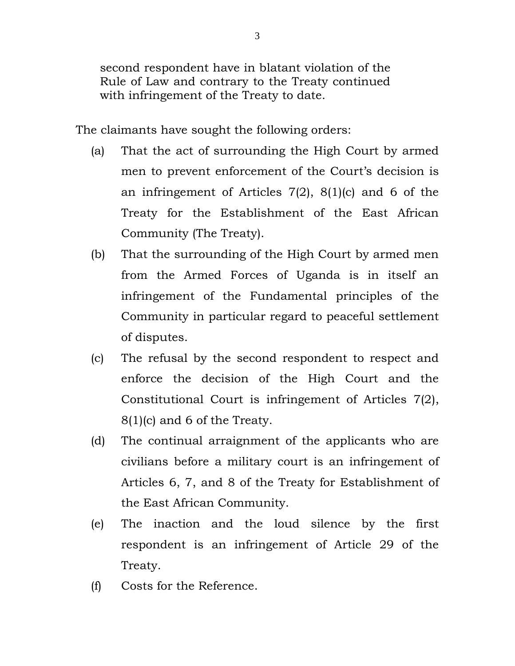second respondent have in blatant violation of the Rule of Law and contrary to the Treaty continued with infringement of the Treaty to date.

The claimants have sought the following orders:

- (a) That the act of surrounding the High Court by armed men to prevent enforcement of the Court's decision is an infringement of Articles 7(2), 8(1)(c) and 6 of the Treaty for the Establishment of the East African Community (The Treaty).
- (b) That the surrounding of the High Court by armed men from the Armed Forces of Uganda is in itself an infringement of the Fundamental principles of the Community in particular regard to peaceful settlement of disputes.
- (c) The refusal by the second respondent to respect and enforce the decision of the High Court and the Constitutional Court is infringement of Articles 7(2), 8(1)(c) and 6 of the Treaty.
- (d) The continual arraignment of the applicants who are civilians before a military court is an infringement of Articles 6, 7, and 8 of the Treaty for Establishment of the East African Community.
- (e) The inaction and the loud silence by the first respondent is an infringement of Article 29 of the Treaty.
- (f) Costs for the Reference.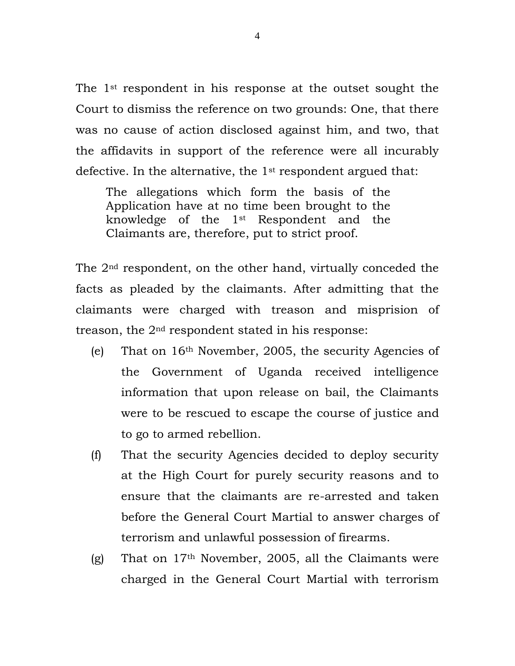The 1st respondent in his response at the outset sought the Court to dismiss the reference on two grounds: One, that there was no cause of action disclosed against him, and two, that the affidavits in support of the reference were all incurably defective. In the alternative, the 1st respondent argued that:

The allegations which form the basis of the Application have at no time been brought to the knowledge of the 1st Respondent and the Claimants are, therefore, put to strict proof.

The 2nd respondent, on the other hand, virtually conceded the facts as pleaded by the claimants. After admitting that the claimants were charged with treason and misprision of treason, the 2nd respondent stated in his response:

- (e) That on 16th November, 2005, the security Agencies of the Government of Uganda received intelligence information that upon release on bail, the Claimants were to be rescued to escape the course of justice and to go to armed rebellion.
- (f) That the security Agencies decided to deploy security at the High Court for purely security reasons and to ensure that the claimants are re-arrested and taken before the General Court Martial to answer charges of terrorism and unlawful possession of firearms.
- (g) That on  $17<sup>th</sup>$  November, 2005, all the Claimants were charged in the General Court Martial with terrorism

4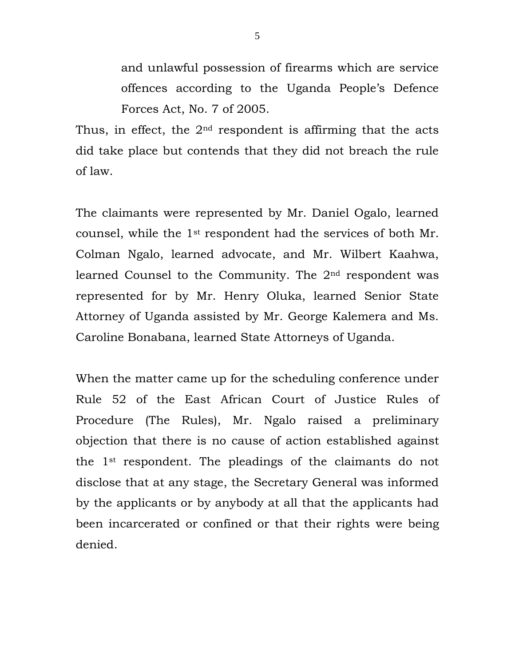and unlawful possession of firearms which are service offences according to the Uganda People's Defence Forces Act, No. 7 of 2005.

Thus, in effect, the  $2<sup>nd</sup>$  respondent is affirming that the acts did take place but contends that they did not breach the rule of law.

The claimants were represented by Mr. Daniel Ogalo, learned counsel, while the 1st respondent had the services of both Mr. Colman Ngalo, learned advocate, and Mr. Wilbert Kaahwa, learned Counsel to the Community. The 2nd respondent was represented for by Mr. Henry Oluka, learned Senior State Attorney of Uganda assisted by Mr. George Kalemera and Ms. Caroline Bonabana, learned State Attorneys of Uganda.

When the matter came up for the scheduling conference under Rule 52 of the East African Court of Justice Rules of Procedure (The Rules), Mr. Ngalo raised a preliminary objection that there is no cause of action established against the 1st respondent. The pleadings of the claimants do not disclose that at any stage, the Secretary General was informed by the applicants or by anybody at all that the applicants had been incarcerated or confined or that their rights were being denied.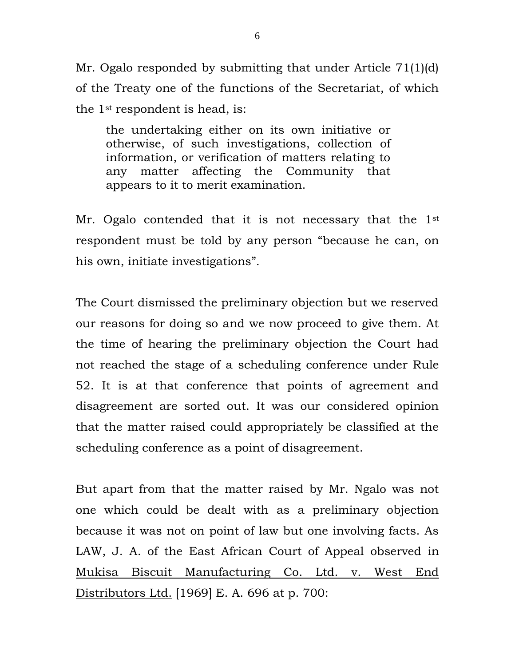Mr. Ogalo responded by submitting that under Article 71(1)(d) of the Treaty one of the functions of the Secretariat, of which the 1st respondent is head, is:

the undertaking either on its own initiative or otherwise, of such investigations, collection of information, or verification of matters relating to any matter affecting the Community that appears to it to merit examination.

Mr. Ogalo contended that it is not necessary that the 1<sup>st</sup> respondent must be told by any person "because he can, on his own, initiate investigations".

The Court dismissed the preliminary objection but we reserved our reasons for doing so and we now proceed to give them. At the time of hearing the preliminary objection the Court had not reached the stage of a scheduling conference under Rule 52. It is at that conference that points of agreement and disagreement are sorted out. It was our considered opinion that the matter raised could appropriately be classified at the scheduling conference as a point of disagreement.

But apart from that the matter raised by Mr. Ngalo was not one which could be dealt with as a preliminary objection because it was not on point of law but one involving facts. As LAW, J. A. of the East African Court of Appeal observed in Mukisa Biscuit Manufacturing Co. Ltd. v. West End Distributors Ltd. [1969] E. A. 696 at p. 700: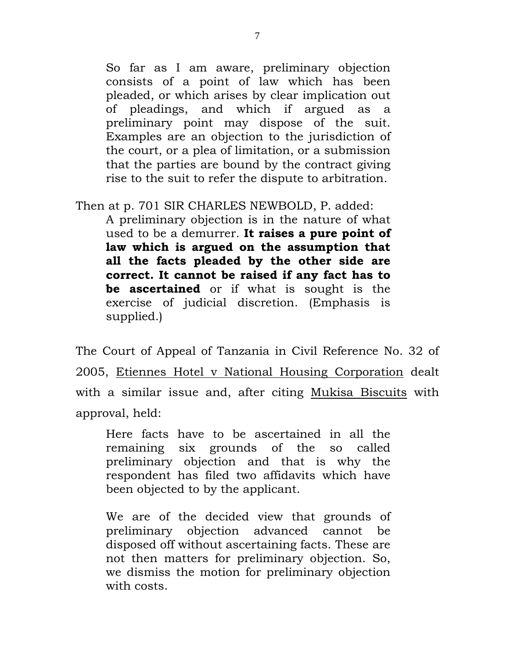So far as I am aware, preliminary objection consists of a point of law which has been pleaded, or which arises by clear implication out of pleadings, and which if argued as a preliminary point may dispose of the suit. Examples are an objection to the jurisdiction of the court, or a plea of limitation, or a submission that the parties are bound by the contract giving rise to the suit to refer the dispute to arbitration.

Then at p. 701 SIR CHARLES NEWBOLD, P. added:

A preliminary objection is in the nature of what used to be a demurrer. **It raises a pure point of law which is argued on the assumption that all the facts pleaded by the other side are correct. It cannot be raised if any fact has to be ascertained** or if what is sought is the exercise of judicial discretion. (Emphasis is supplied.)

The Court of Appeal of Tanzania in Civil Reference No. 32 of 2005, Etiennes Hotel v National Housing Corporation dealt with a similar issue and, after citing Mukisa Biscuits with approval, held:

Here facts have to be ascertained in all the remaining six grounds of the so called preliminary objection and that is why the respondent has filed two affidavits which have been objected to by the applicant.

We are of the decided view that grounds of preliminary objection advanced cannot be disposed off without ascertaining facts. These are not then matters for preliminary objection. So, we dismiss the motion for preliminary objection with costs.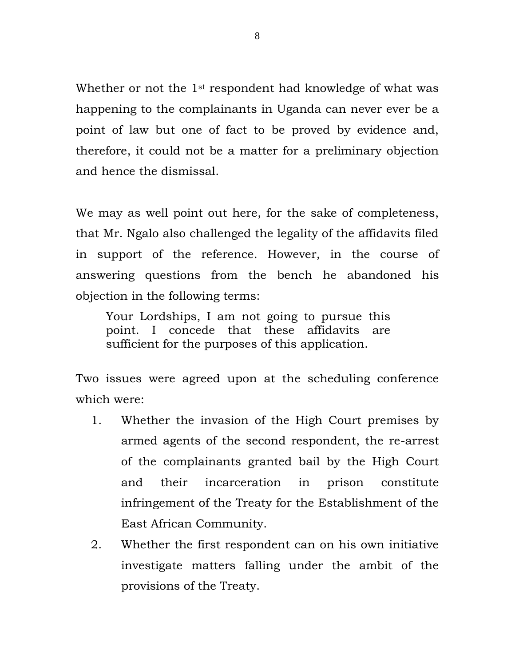Whether or not the 1<sup>st</sup> respondent had knowledge of what was happening to the complainants in Uganda can never ever be a point of law but one of fact to be proved by evidence and, therefore, it could not be a matter for a preliminary objection and hence the dismissal.

We may as well point out here, for the sake of completeness, that Mr. Ngalo also challenged the legality of the affidavits filed in support of the reference. However, in the course of answering questions from the bench he abandoned his objection in the following terms:

Your Lordships, I am not going to pursue this point. I concede that these affidavits are sufficient for the purposes of this application.

Two issues were agreed upon at the scheduling conference which were:

- 1. Whether the invasion of the High Court premises by armed agents of the second respondent, the re-arrest of the complainants granted bail by the High Court and their incarceration in prison constitute infringement of the Treaty for the Establishment of the East African Community.
- 2. Whether the first respondent can on his own initiative investigate matters falling under the ambit of the provisions of the Treaty.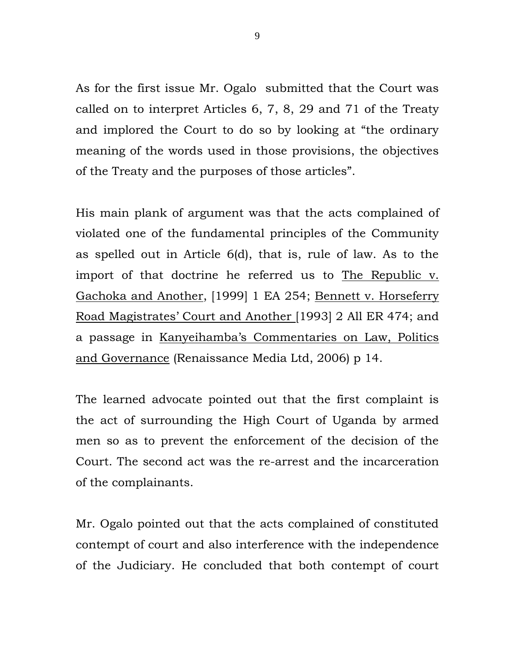As for the first issue Mr. Ogalo submitted that the Court was called on to interpret Articles 6, 7, 8, 29 and 71 of the Treaty and implored the Court to do so by looking at "the ordinary meaning of the words used in those provisions, the objectives of the Treaty and the purposes of those articles".

His main plank of argument was that the acts complained of violated one of the fundamental principles of the Community as spelled out in Article 6(d), that is, rule of law. As to the import of that doctrine he referred us to The Republic v. Gachoka and Another, [1999] 1 EA 254; Bennett v. Horseferry Road Magistrates' Court and Another [1993] 2 All ER 474; and a passage in Kanyeihamba's Commentaries on Law, Politics and Governance (Renaissance Media Ltd, 2006) p 14.

The learned advocate pointed out that the first complaint is the act of surrounding the High Court of Uganda by armed men so as to prevent the enforcement of the decision of the Court. The second act was the re-arrest and the incarceration of the complainants.

Mr. Ogalo pointed out that the acts complained of constituted contempt of court and also interference with the independence of the Judiciary. He concluded that both contempt of court

9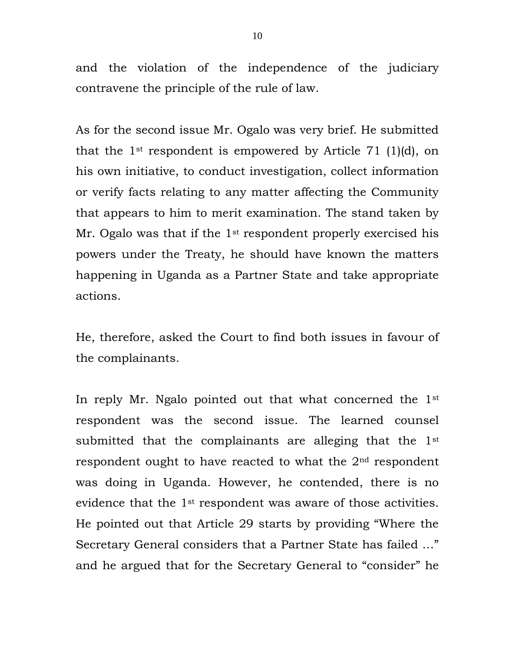and the violation of the independence of the judiciary contravene the principle of the rule of law.

As for the second issue Mr. Ogalo was very brief. He submitted that the 1<sup>st</sup> respondent is empowered by Article 71 (1)(d), on his own initiative, to conduct investigation, collect information or verify facts relating to any matter affecting the Community that appears to him to merit examination. The stand taken by Mr. Ogalo was that if the 1<sup>st</sup> respondent properly exercised his powers under the Treaty, he should have known the matters happening in Uganda as a Partner State and take appropriate actions.

He, therefore, asked the Court to find both issues in favour of the complainants.

In reply Mr. Ngalo pointed out that what concerned the 1st respondent was the second issue. The learned counsel submitted that the complainants are alleging that the 1<sup>st</sup> respondent ought to have reacted to what the 2nd respondent was doing in Uganda. However, he contended, there is no evidence that the 1st respondent was aware of those activities. He pointed out that Article 29 starts by providing "Where the Secretary General considers that a Partner State has failed …" and he argued that for the Secretary General to "consider" he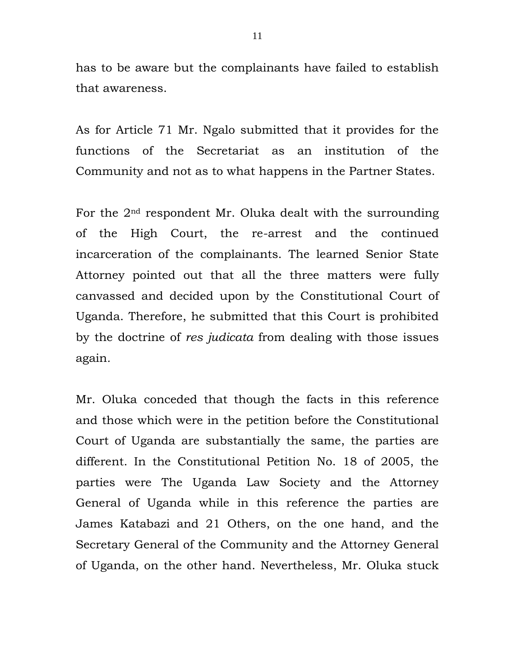has to be aware but the complainants have failed to establish that awareness.

As for Article 71 Mr. Ngalo submitted that it provides for the functions of the Secretariat as an institution of the Community and not as to what happens in the Partner States.

For the 2nd respondent Mr. Oluka dealt with the surrounding of the High Court, the re-arrest and the continued incarceration of the complainants. The learned Senior State Attorney pointed out that all the three matters were fully canvassed and decided upon by the Constitutional Court of Uganda. Therefore, he submitted that this Court is prohibited by the doctrine of *res judicata* from dealing with those issues again*.*

Mr. Oluka conceded that though the facts in this reference and those which were in the petition before the Constitutional Court of Uganda are substantially the same, the parties are different. In the Constitutional Petition No. 18 of 2005, the parties were The Uganda Law Society and the Attorney General of Uganda while in this reference the parties are James Katabazi and 21 Others, on the one hand, and the Secretary General of the Community and the Attorney General of Uganda, on the other hand. Nevertheless, Mr. Oluka stuck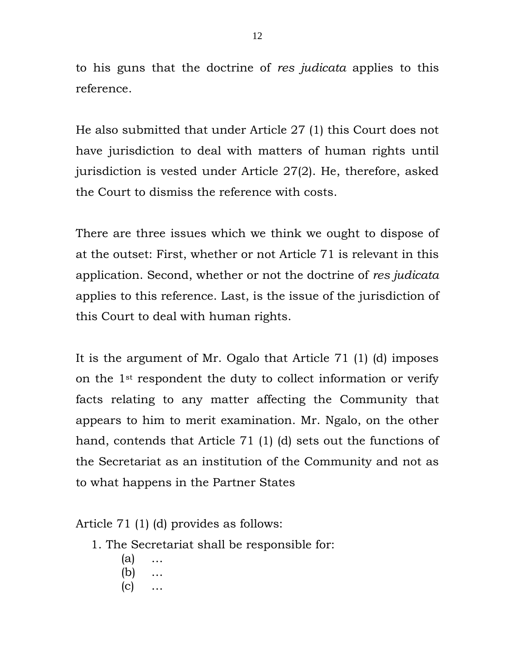to his guns that the doctrine of *res judicata* applies to this reference.

He also submitted that under Article 27 (1) this Court does not have jurisdiction to deal with matters of human rights until jurisdiction is vested under Article 27(2). He, therefore, asked the Court to dismiss the reference with costs.

There are three issues which we think we ought to dispose of at the outset: First, whether or not Article 71 is relevant in this application. Second, whether or not the doctrine of *res judicata* applies to this reference. Last, is the issue of the jurisdiction of this Court to deal with human rights.

It is the argument of Mr. Ogalo that Article 71 (1) (d) imposes on the 1st respondent the duty to collect information or verify facts relating to any matter affecting the Community that appears to him to merit examination. Mr. Ngalo, on the other hand, contends that Article 71 (1) (d) sets out the functions of the Secretariat as an institution of the Community and not as to what happens in the Partner States

Article 71 (1) (d) provides as follows:

- 1. The Secretariat shall be responsible for:
	- $(a)$
	- (b) …
	- (c) …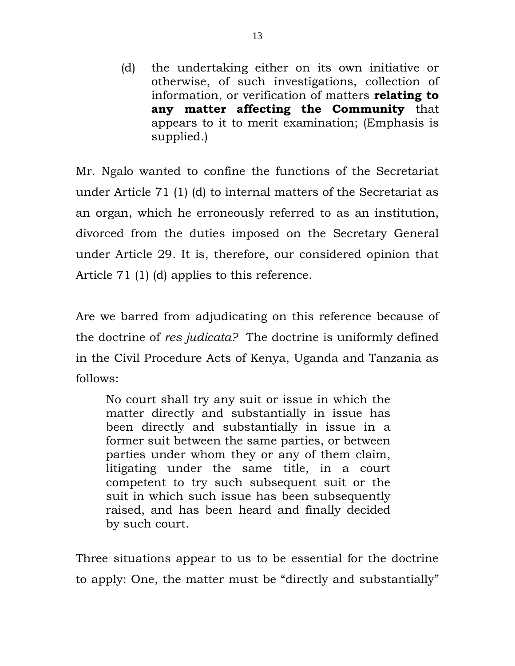(d) the undertaking either on its own initiative or otherwise, of such investigations, collection of information, or verification of matters **relating to any matter affecting the Community** that appears to it to merit examination; (Emphasis is supplied.)

Mr. Ngalo wanted to confine the functions of the Secretariat under Article 71 (1) (d) to internal matters of the Secretariat as an organ, which he erroneously referred to as an institution, divorced from the duties imposed on the Secretary General under Article 29. It is, therefore, our considered opinion that Article 71 (1) (d) applies to this reference.

Are we barred from adjudicating on this reference because of the doctrine of *res judicata?* The doctrine is uniformly defined in the Civil Procedure Acts of Kenya, Uganda and Tanzania as follows:

No court shall try any suit or issue in which the matter directly and substantially in issue has been directly and substantially in issue in a former suit between the same parties, or between parties under whom they or any of them claim, litigating under the same title, in a court competent to try such subsequent suit or the suit in which such issue has been subsequently raised, and has been heard and finally decided by such court.

Three situations appear to us to be essential for the doctrine to apply: One, the matter must be "directly and substantially"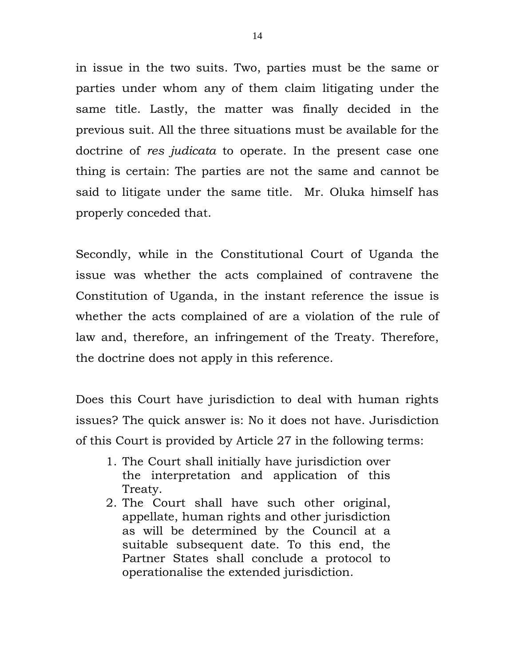in issue in the two suits. Two, parties must be the same or parties under whom any of them claim litigating under the same title. Lastly, the matter was finally decided in the previous suit. All the three situations must be available for the doctrine of *res judicata* to operate. In the present case one thing is certain: The parties are not the same and cannot be said to litigate under the same title. Mr. Oluka himself has properly conceded that.

Secondly, while in the Constitutional Court of Uganda the issue was whether the acts complained of contravene the Constitution of Uganda, in the instant reference the issue is whether the acts complained of are a violation of the rule of law and, therefore, an infringement of the Treaty. Therefore, the doctrine does not apply in this reference.

Does this Court have jurisdiction to deal with human rights issues? The quick answer is: No it does not have. Jurisdiction of this Court is provided by Article 27 in the following terms:

- 1. The Court shall initially have jurisdiction over the interpretation and application of this Treaty.
- 2. The Court shall have such other original, appellate, human rights and other jurisdiction as will be determined by the Council at a suitable subsequent date. To this end, the Partner States shall conclude a protocol to operationalise the extended jurisdiction.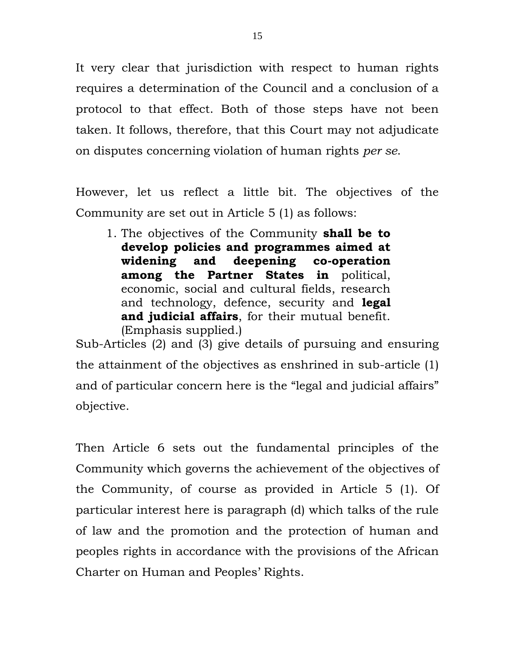It very clear that jurisdiction with respect to human rights requires a determination of the Council and a conclusion of a protocol to that effect. Both of those steps have not been taken. It follows, therefore, that this Court may not adjudicate on disputes concerning violation of human rights *per se*.

However, let us reflect a little bit. The objectives of the Community are set out in Article 5 (1) as follows:

1. The objectives of the Community **shall be to develop policies and programmes aimed at widening and deepening co-operation among the Partner States in** political, economic, social and cultural fields, research and technology, defence, security and **legal and judicial affairs**, for their mutual benefit. (Emphasis supplied.)

Sub-Articles (2) and (3) give details of pursuing and ensuring the attainment of the objectives as enshrined in sub-article (1) and of particular concern here is the "legal and judicial affairs" objective.

Then Article 6 sets out the fundamental principles of the Community which governs the achievement of the objectives of the Community, of course as provided in Article 5 (1). Of particular interest here is paragraph (d) which talks of the rule of law and the promotion and the protection of human and peoples rights in accordance with the provisions of the African Charter on Human and Peoples' Rights.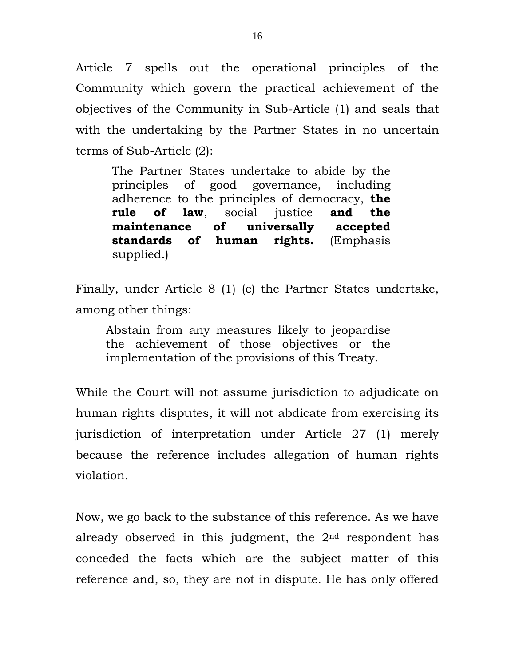Article 7 spells out the operational principles of the Community which govern the practical achievement of the objectives of the Community in Sub-Article (1) and seals that with the undertaking by the Partner States in no uncertain terms of Sub-Article (2):

The Partner States undertake to abide by the principles of good governance, including adherence to the principles of democracy, **the rule of law**, social justice **and the maintenance of universally accepted standards of human rights.** (Emphasis supplied.)

Finally, under Article 8 (1) (c) the Partner States undertake, among other things:

Abstain from any measures likely to jeopardise the achievement of those objectives or the implementation of the provisions of this Treaty.

While the Court will not assume jurisdiction to adjudicate on human rights disputes, it will not abdicate from exercising its jurisdiction of interpretation under Article 27 (1) merely because the reference includes allegation of human rights violation.

Now, we go back to the substance of this reference. As we have already observed in this judgment, the 2nd respondent has conceded the facts which are the subject matter of this reference and, so, they are not in dispute. He has only offered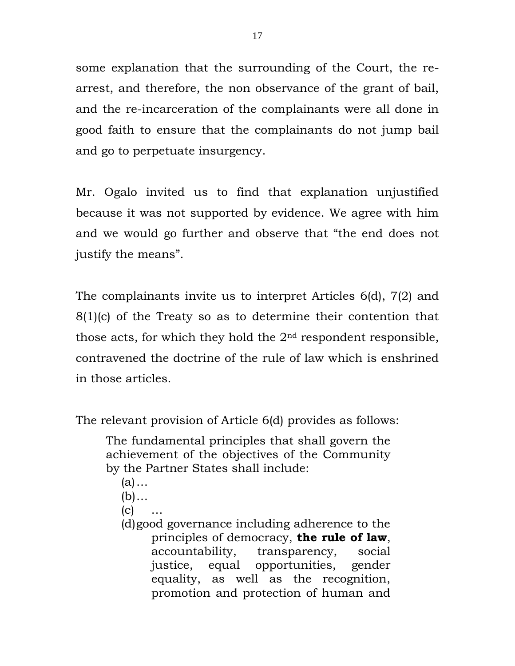some explanation that the surrounding of the Court, the rearrest, and therefore, the non observance of the grant of bail, and the re-incarceration of the complainants were all done in good faith to ensure that the complainants do not jump bail and go to perpetuate insurgency.

Mr. Ogalo invited us to find that explanation unjustified because it was not supported by evidence. We agree with him and we would go further and observe that "the end does not justify the means".

The complainants invite us to interpret Articles 6(d), 7(2) and 8(1)(c) of the Treaty so as to determine their contention that those acts, for which they hold the  $2<sup>nd</sup>$  respondent responsible, contravened the doctrine of the rule of law which is enshrined in those articles.

The relevant provision of Article 6(d) provides as follows:

The fundamental principles that shall govern the achievement of the objectives of the Community by the Partner States shall include:

- (a)…
- $(b) \ldots$
- $(c)$
- (d)good governance including adherence to the principles of democracy, **the rule of law**, accountability, transparency, social justice, equal opportunities, gender equality, as well as the recognition, promotion and protection of human and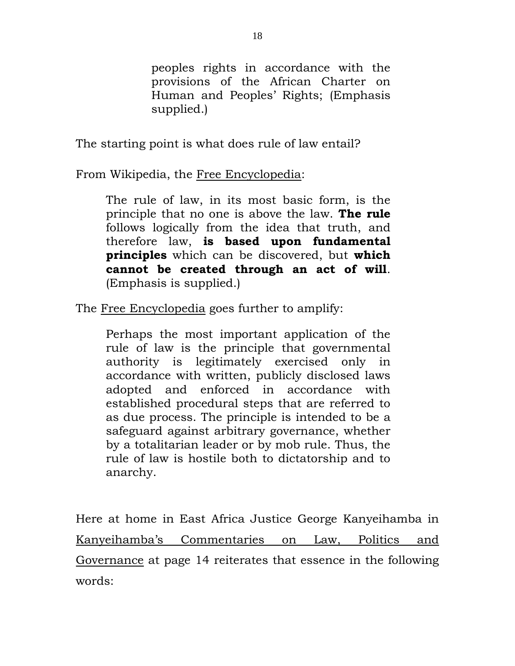peoples rights in accordance with the provisions of the African Charter on Human and Peoples' Rights; (Emphasis supplied.)

The starting point is what does rule of law entail?

From Wikipedia, the Free Encyclopedia:

The rule of law, in its most basic form, is the principle that no one is above the law. **The rule** follows logically from the idea that truth, and therefore law, **is based upon fundamental principles** which can be discovered, but **which cannot be created through an act of will**. (Emphasis is supplied.)

The Free Encyclopedia goes further to amplify:

Perhaps the most important application of the rule of law is the principle that governmental authority is legitimately exercised only in accordance with written, publicly disclosed laws adopted and enforced in accordance with established procedural steps that are referred to as due process. The principle is intended to be a safeguard against arbitrary governance, whether by a totalitarian leader or by mob rule. Thus, the rule of law is hostile both to dictatorship and to anarchy.

Here at home in East Africa Justice George Kanyeihamba in Kanyeihamba's Commentaries on Law, Politics and Governance at page 14 reiterates that essence in the following words: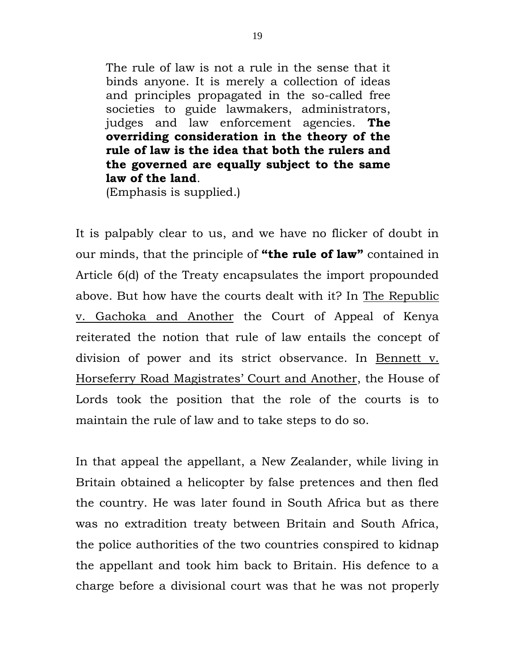The rule of law is not a rule in the sense that it binds anyone. It is merely a collection of ideas and principles propagated in the so-called free societies to guide lawmakers, administrators, judges and law enforcement agencies. **The overriding consideration in the theory of the rule of law is the idea that both the rulers and the governed are equally subject to the same law of the land**.

(Emphasis is supplied.)

It is palpably clear to us, and we have no flicker of doubt in our minds, that the principle of **"the rule of law"** contained in Article 6(d) of the Treaty encapsulates the import propounded above. But how have the courts dealt with it? In The Republic v. Gachoka and Another the Court of Appeal of Kenya reiterated the notion that rule of law entails the concept of division of power and its strict observance. In Bennett v. Horseferry Road Magistrates' Court and Another, the House of Lords took the position that the role of the courts is to maintain the rule of law and to take steps to do so.

In that appeal the appellant, a New Zealander, while living in Britain obtained a helicopter by false pretences and then fled the country. He was later found in South Africa but as there was no extradition treaty between Britain and South Africa, the police authorities of the two countries conspired to kidnap the appellant and took him back to Britain. His defence to a charge before a divisional court was that he was not properly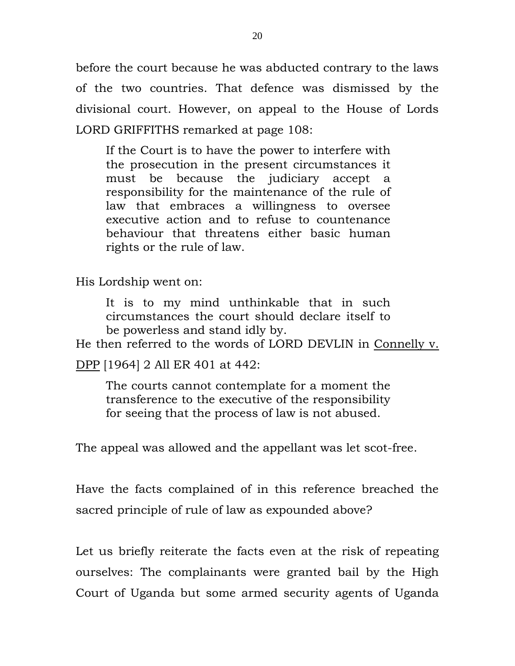before the court because he was abducted contrary to the laws of the two countries. That defence was dismissed by the divisional court. However, on appeal to the House of Lords LORD GRIFFITHS remarked at page 108:

If the Court is to have the power to interfere with the prosecution in the present circumstances it must be because the judiciary accept a responsibility for the maintenance of the rule of law that embraces a willingness to oversee executive action and to refuse to countenance behaviour that threatens either basic human rights or the rule of law.

His Lordship went on:

It is to my mind unthinkable that in such circumstances the court should declare itself to be powerless and stand idly by.

He then referred to the words of LORD DEVLIN in Connelly v.

DPP [1964] 2 All ER 401 at 442:

The courts cannot contemplate for a moment the transference to the executive of the responsibility for seeing that the process of law is not abused.

The appeal was allowed and the appellant was let scot-free.

Have the facts complained of in this reference breached the sacred principle of rule of law as expounded above?

Let us briefly reiterate the facts even at the risk of repeating ourselves: The complainants were granted bail by the High Court of Uganda but some armed security agents of Uganda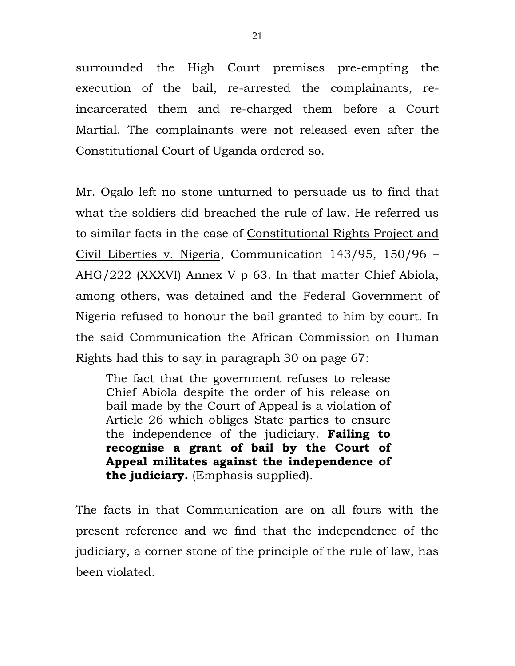surrounded the High Court premises pre-empting the execution of the bail, re-arrested the complainants, reincarcerated them and re-charged them before a Court Martial. The complainants were not released even after the Constitutional Court of Uganda ordered so.

Mr. Ogalo left no stone unturned to persuade us to find that what the soldiers did breached the rule of law. He referred us to similar facts in the case of Constitutional Rights Project and Civil Liberties v. Nigeria, Communication 143/95, 150/96 – AHG/222 (XXXVI) Annex V p 63. In that matter Chief Abiola, among others, was detained and the Federal Government of Nigeria refused to honour the bail granted to him by court. In the said Communication the African Commission on Human Rights had this to say in paragraph 30 on page 67:

The fact that the government refuses to release Chief Abiola despite the order of his release on bail made by the Court of Appeal is a violation of Article 26 which obliges State parties to ensure the independence of the judiciary. **Failing to recognise a grant of bail by the Court of Appeal militates against the independence of the judiciary.** (Emphasis supplied).

The facts in that Communication are on all fours with the present reference and we find that the independence of the judiciary, a corner stone of the principle of the rule of law, has been violated.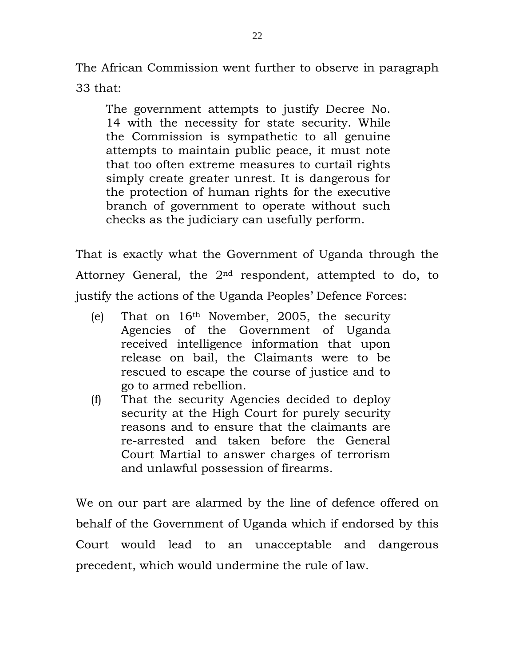The African Commission went further to observe in paragraph 33 that:

The government attempts to justify Decree No. 14 with the necessity for state security. While the Commission is sympathetic to all genuine attempts to maintain public peace, it must note that too often extreme measures to curtail rights simply create greater unrest. It is dangerous for the protection of human rights for the executive branch of government to operate without such checks as the judiciary can usefully perform.

That is exactly what the Government of Uganda through the Attorney General, the  $2<sup>nd</sup>$  respondent, attempted to do, to justify the actions of the Uganda Peoples' Defence Forces:

- (e) That on 16th November, 2005, the security Agencies of the Government of Uganda received intelligence information that upon release on bail, the Claimants were to be rescued to escape the course of justice and to go to armed rebellion.
- (f) That the security Agencies decided to deploy security at the High Court for purely security reasons and to ensure that the claimants are re-arrested and taken before the General Court Martial to answer charges of terrorism and unlawful possession of firearms.

We on our part are alarmed by the line of defence offered on behalf of the Government of Uganda which if endorsed by this Court would lead to an unacceptable and dangerous precedent, which would undermine the rule of law.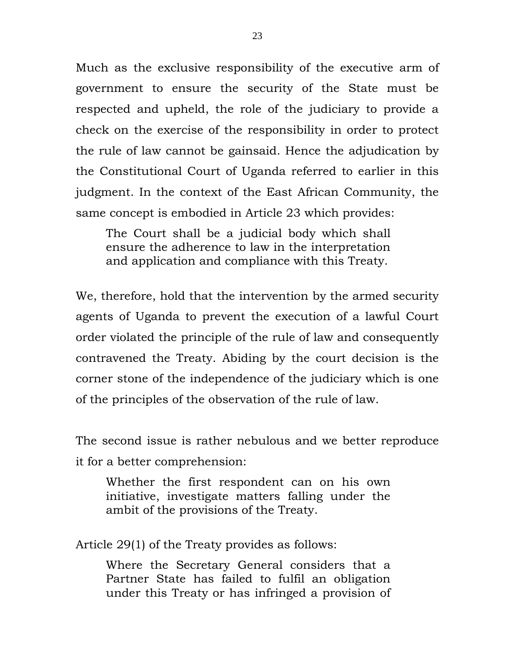Much as the exclusive responsibility of the executive arm of government to ensure the security of the State must be respected and upheld, the role of the judiciary to provide a check on the exercise of the responsibility in order to protect the rule of law cannot be gainsaid. Hence the adjudication by the Constitutional Court of Uganda referred to earlier in this judgment. In the context of the East African Community, the same concept is embodied in Article 23 which provides:

The Court shall be a judicial body which shall ensure the adherence to law in the interpretation and application and compliance with this Treaty.

We, therefore, hold that the intervention by the armed security agents of Uganda to prevent the execution of a lawful Court order violated the principle of the rule of law and consequently contravened the Treaty. Abiding by the court decision is the corner stone of the independence of the judiciary which is one of the principles of the observation of the rule of law.

The second issue is rather nebulous and we better reproduce it for a better comprehension:

Whether the first respondent can on his own initiative, investigate matters falling under the ambit of the provisions of the Treaty.

Article 29(1) of the Treaty provides as follows:

Where the Secretary General considers that a Partner State has failed to fulfil an obligation under this Treaty or has infringed a provision of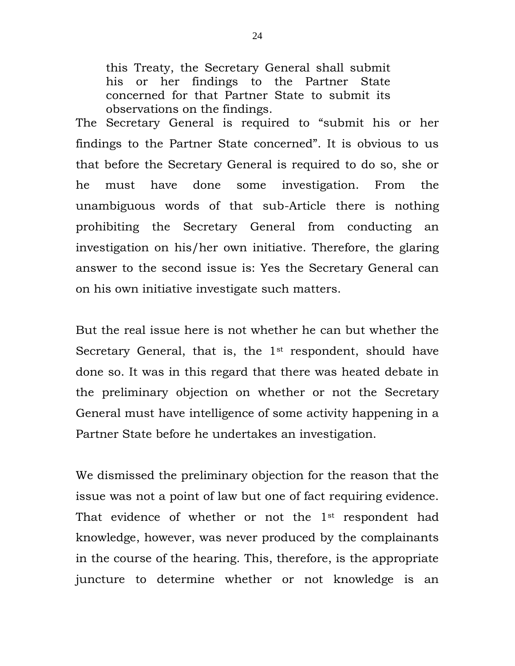this Treaty, the Secretary General shall submit his or her findings to the Partner State concerned for that Partner State to submit its observations on the findings.

The Secretary General is required to "submit his or her findings to the Partner State concerned". It is obvious to us that before the Secretary General is required to do so, she or he must have done some investigation. From the unambiguous words of that sub-Article there is nothing prohibiting the Secretary General from conducting an investigation on his/her own initiative. Therefore, the glaring answer to the second issue is: Yes the Secretary General can on his own initiative investigate such matters.

But the real issue here is not whether he can but whether the Secretary General, that is, the 1<sup>st</sup> respondent, should have done so. It was in this regard that there was heated debate in the preliminary objection on whether or not the Secretary General must have intelligence of some activity happening in a Partner State before he undertakes an investigation.

We dismissed the preliminary objection for the reason that the issue was not a point of law but one of fact requiring evidence. That evidence of whether or not the 1<sup>st</sup> respondent had knowledge, however, was never produced by the complainants in the course of the hearing. This, therefore, is the appropriate juncture to determine whether or not knowledge is an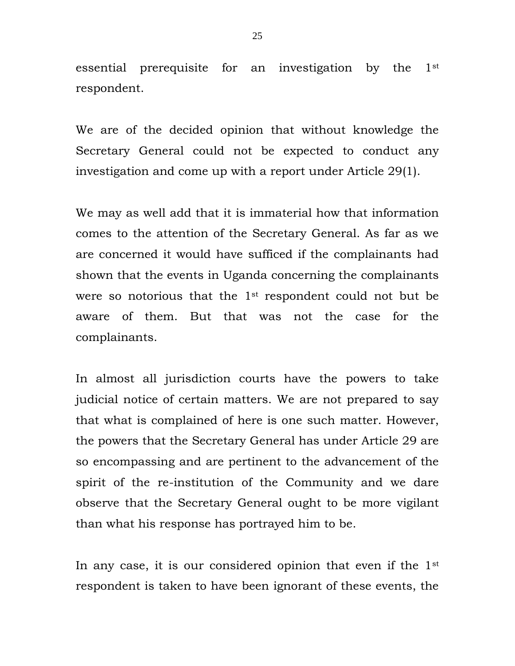essential prerequisite for an investigation by the 1st respondent.

We are of the decided opinion that without knowledge the Secretary General could not be expected to conduct any investigation and come up with a report under Article 29(1).

We may as well add that it is immaterial how that information comes to the attention of the Secretary General. As far as we are concerned it would have sufficed if the complainants had shown that the events in Uganda concerning the complainants were so notorious that the 1st respondent could not but be aware of them. But that was not the case for the complainants.

In almost all jurisdiction courts have the powers to take judicial notice of certain matters. We are not prepared to say that what is complained of here is one such matter. However, the powers that the Secretary General has under Article 29 are so encompassing and are pertinent to the advancement of the spirit of the re-institution of the Community and we dare observe that the Secretary General ought to be more vigilant than what his response has portrayed him to be.

In any case, it is our considered opinion that even if the 1st respondent is taken to have been ignorant of these events, the